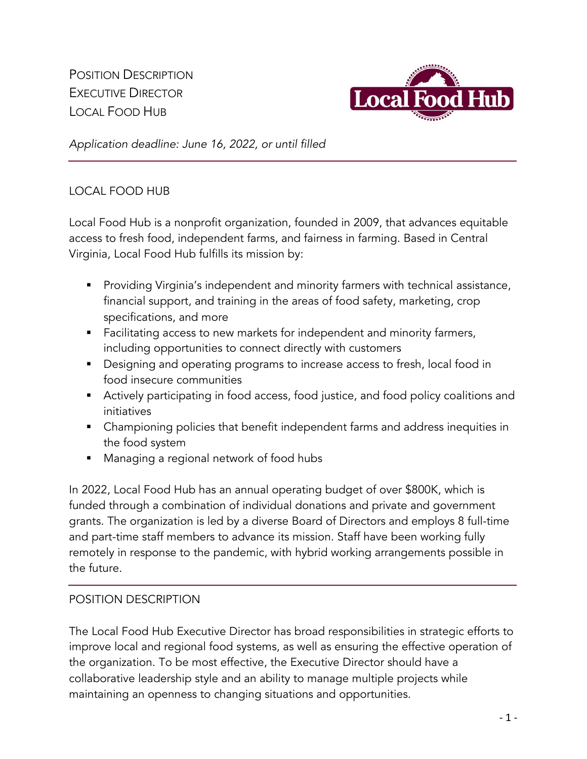POSITION DESCRIPTION EXECUTIVE DIRECTOR LOCAL FOOD HUB



*Application deadline: June 16, 2022, or until filled*

## LOCAL FOOD HUB

Local Food Hub is a nonprofit organization, founded in 2009, that advances equitable access to fresh food, independent farms, and fairness in farming. Based in Central Virginia, Local Food Hub fulfills its mission by:

- Providing Virginia's independent and minority farmers with technical assistance, financial support, and training in the areas of food safety, marketing, crop specifications, and more
- Facilitating access to new markets for independent and minority farmers, including opportunities to connect directly with customers
- Designing and operating programs to increase access to fresh, local food in food insecure communities
- Actively participating in food access, food justice, and food policy coalitions and initiatives
- Championing policies that benefit independent farms and address inequities in the food system
- Managing a regional network of food hubs

In 2022, Local Food Hub has an annual operating budget of over \$800K, which is funded through a combination of individual donations and private and government grants. The organization is led by a diverse Board of Directors and employs 8 full-time and part-time staff members to advance its mission. Staff have been working fully remotely in response to the pandemic, with hybrid working arrangements possible in the future.

## POSITION DESCRIPTION

The Local Food Hub Executive Director has broad responsibilities in strategic efforts to improve local and regional food systems, as well as ensuring the effective operation of the organization. To be most effective, the Executive Director should have a collaborative leadership style and an ability to manage multiple projects while maintaining an openness to changing situations and opportunities.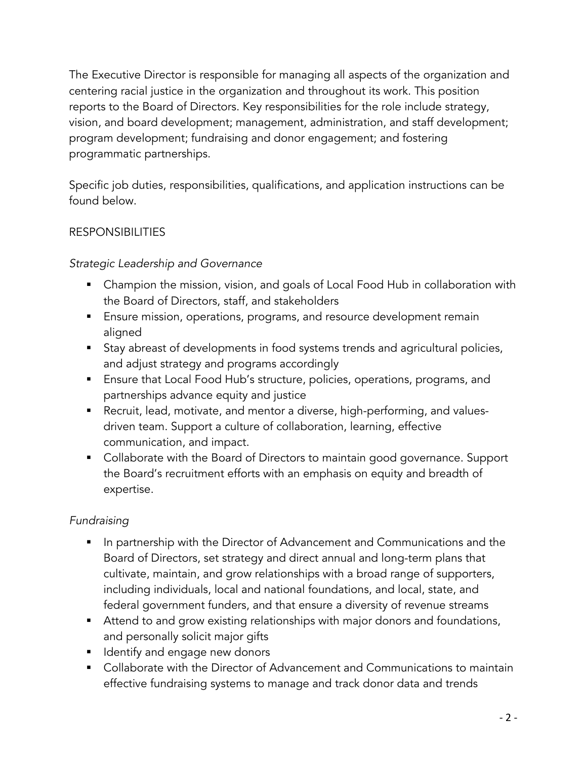The Executive Director is responsible for managing all aspects of the organization and centering racial justice in the organization and throughout its work. This position reports to the Board of Directors. Key responsibilities for the role include strategy, vision, and board development; management, administration, and staff development; program development; fundraising and donor engagement; and fostering programmatic partnerships.

Specific job duties, responsibilities, qualifications, and application instructions can be found below.

# RESPONSIBILITIES

## *Strategic Leadership and Governance*

- Champion the mission, vision, and goals of Local Food Hub in collaboration with the Board of Directors, staff, and stakeholders
- Ensure mission, operations, programs, and resource development remain aligned
- Stay abreast of developments in food systems trends and agricultural policies, and adjust strategy and programs accordingly
- Ensure that Local Food Hub's structure, policies, operations, programs, and partnerships advance equity and justice
- Recruit, lead, motivate, and mentor a diverse, high-performing, and valuesdriven team. Support a culture of collaboration, learning, effective communication, and impact.
- Collaborate with the Board of Directors to maintain good governance. Support the Board's recruitment efforts with an emphasis on equity and breadth of expertise.

## *Fundraising*

- In partnership with the Director of Advancement and Communications and the Board of Directors, set strategy and direct annual and long-term plans that cultivate, maintain, and grow relationships with a broad range of supporters, including individuals, local and national foundations, and local, state, and federal government funders, and that ensure a diversity of revenue streams
- Attend to and grow existing relationships with major donors and foundations, and personally solicit major gifts
- **E** Identify and engage new donors
- Collaborate with the Director of Advancement and Communications to maintain effective fundraising systems to manage and track donor data and trends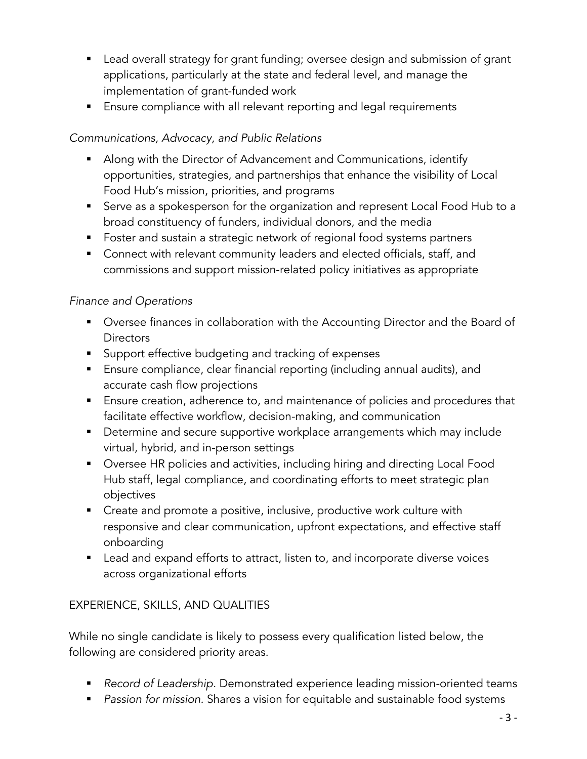- Lead overall strategy for grant funding; oversee design and submission of grant applications, particularly at the state and federal level, and manage the implementation of grant-funded work
- Ensure compliance with all relevant reporting and legal requirements

# *Communications, Advocacy, and Public Relations*

- Along with the Director of Advancement and Communications, identify opportunities, strategies, and partnerships that enhance the visibility of Local Food Hub's mission, priorities, and programs
- Serve as a spokesperson for the organization and represent Local Food Hub to a broad constituency of funders, individual donors, and the media
- Foster and sustain a strategic network of regional food systems partners
- Connect with relevant community leaders and elected officials, staff, and commissions and support mission-related policy initiatives as appropriate

## *Finance and Operations*

- Oversee finances in collaboration with the Accounting Director and the Board of **Directors**
- Support effective budgeting and tracking of expenses
- Ensure compliance, clear financial reporting (including annual audits), and accurate cash flow projections
- Ensure creation, adherence to, and maintenance of policies and procedures that facilitate effective workflow, decision-making, and communication
- Determine and secure supportive workplace arrangements which may include virtual, hybrid, and in-person settings
- Oversee HR policies and activities, including hiring and directing Local Food Hub staff, legal compliance, and coordinating efforts to meet strategic plan objectives
- Create and promote a positive, inclusive, productive work culture with responsive and clear communication, upfront expectations, and effective staff onboarding
- Lead and expand efforts to attract, listen to, and incorporate diverse voices across organizational efforts

# EXPERIENCE, SKILLS, AND QUALITIES

While no single candidate is likely to possess every qualification listed below, the following are considered priority areas.

- *Record of Leadership.* Demonstrated experience leading mission-oriented teams
- § *Passion for mission.* Shares a vision for equitable and sustainable food systems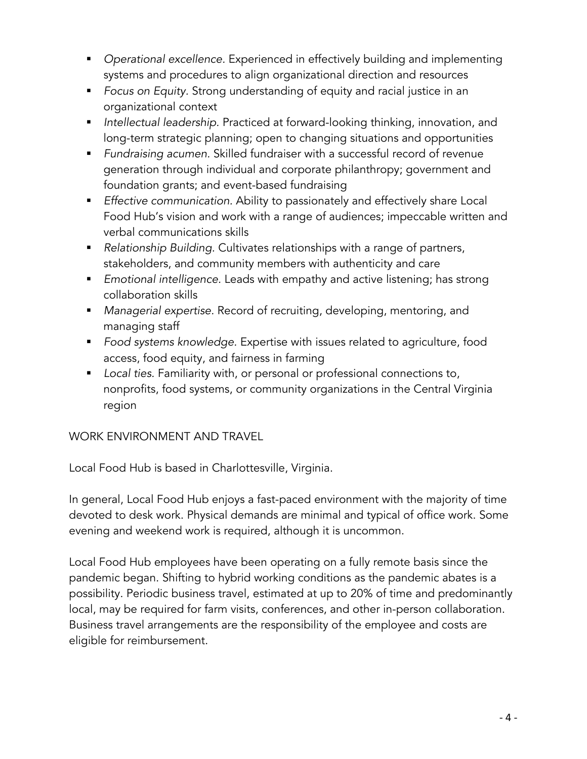- § *Operational excellence.* Experienced in effectively building and implementing systems and procedures to align organizational direction and resources
- *Focus on Equity*. Strong understanding of equity and racial justice in an organizational context
- *Intellectual leadership.* Practiced at forward-looking thinking, innovation, and long-term strategic planning; open to changing situations and opportunities
- § *Fundraising acumen.* Skilled fundraiser with a successful record of revenue generation through individual and corporate philanthropy; government and foundation grants; and event-based fundraising
- *Effective communication.* Ability to passionately and effectively share Local Food Hub's vision and work with a range of audiences; impeccable written and verbal communications skills
- Relationship Building. Cultivates relationships with a range of partners, stakeholders, and community members with authenticity and care
- § *Emotional intelligence.* Leads with empathy and active listening; has strong collaboration skills
- § *Managerial expertise.* Record of recruiting, developing, mentoring, and managing staff
- *Food systems knowledge.* Expertise with issues related to agriculture, food access, food equity, and fairness in farming
- *Local ties.* Familiarity with, or personal or professional connections to, nonprofits, food systems, or community organizations in the Central Virginia region

## WORK ENVIRONMENT AND TRAVEL

Local Food Hub is based in Charlottesville, Virginia.

In general, Local Food Hub enjoys a fast-paced environment with the majority of time devoted to desk work. Physical demands are minimal and typical of office work. Some evening and weekend work is required, although it is uncommon.

Local Food Hub employees have been operating on a fully remote basis since the pandemic began. Shifting to hybrid working conditions as the pandemic abates is a possibility. Periodic business travel, estimated at up to 20% of time and predominantly local, may be required for farm visits, conferences, and other in-person collaboration. Business travel arrangements are the responsibility of the employee and costs are eligible for reimbursement.